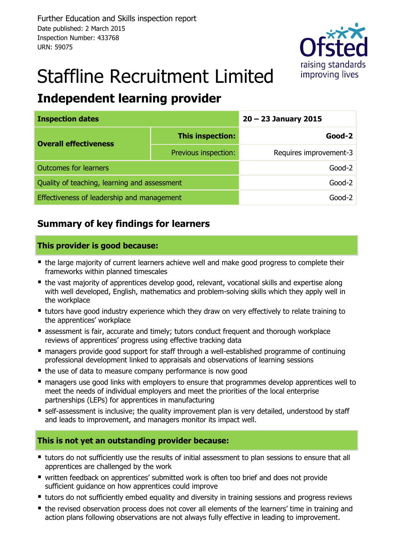

# Staffline Recruitment Limited

# **Independent learning provider**

| <b>Inspection dates</b>                      | $20 - 23$ January 2015 |                        |  |  |
|----------------------------------------------|------------------------|------------------------|--|--|
| <b>Overall effectiveness</b>                 | This inspection:       | $Good-2$               |  |  |
|                                              | Previous inspection:   | Requires improvement-3 |  |  |
| <b>Outcomes for learners</b>                 | $Good-2$               |                        |  |  |
| Quality of teaching, learning and assessment | $Good-2$               |                        |  |  |
| Effectiveness of leadership and management   | Good-2                 |                        |  |  |

# **Summary of key findings for learners**

### **This provider is good because:**

- the large majority of current learners achieve well and make good progress to complete their frameworks within planned timescales
- the vast majority of apprentices develop good, relevant, vocational skills and expertise along with well developed, English, mathematics and problem-solving skills which they apply well in the workplace
- **u** tutors have good industry experience which they draw on very effectively to relate training to the apprentices' workplace
- **E** assessment is fair, accurate and timely; tutors conduct frequent and thorough workplace reviews of apprentices' progress using effective tracking data
- managers provide good support for staff through a well-established programme of continuing professional development linked to appraisals and observations of learning sessions
- the use of data to measure company performance is now good
- **nanagers use good links with employers to ensure that programmes develop apprentices well to** meet the needs of individual employers and meet the priorities of the local enterprise partnerships (LEPs) for apprentices in manufacturing
- self-assessment is inclusive; the quality improvement plan is very detailed, understood by staff and leads to improvement, and managers monitor its impact well.

### **This is not yet an outstanding provider because:**

- **\*** tutors do not sufficiently use the results of initial assessment to plan sessions to ensure that all apprentices are challenged by the work
- written feedback on apprentices' submitted work is often too brief and does not provide sufficient guidance on how apprentices could improve
- **•** tutors do not sufficiently embed equality and diversity in training sessions and progress reviews
- the revised observation process does not cover all elements of the learners' time in training and action plans following observations are not always fully effective in leading to improvement.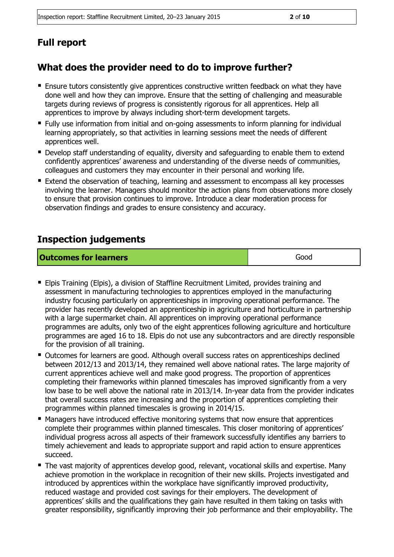# **Full report**

# **What does the provider need to do to improve further?**

- Ensure tutors consistently give apprentices constructive written feedback on what they have done well and how they can improve. Ensure that the setting of challenging and measurable targets during reviews of progress is consistently rigorous for all apprentices. Help all apprentices to improve by always including short-term development targets.
- **Fully use information from initial and on-going assessments to inform planning for individual** learning appropriately, so that activities in learning sessions meet the needs of different apprentices well.
- **Develop staff understanding of equality, diversity and safeguarding to enable them to extend** confidently apprentices' awareness and understanding of the diverse needs of communities, colleagues and customers they may encounter in their personal and working life.
- Extend the observation of teaching, learning and assessment to encompass all key processes involving the learner. Managers should monitor the action plans from observations more closely to ensure that provision continues to improve. Introduce a clear moderation process for observation findings and grades to ensure consistency and accuracy.

# **Inspection judgements**

| <b>Outcomes for learners</b> | Good |
|------------------------------|------|
|------------------------------|------|

- Elpis Training (Elpis), a division of Staffline Recruitment Limited, provides training and assessment in manufacturing technologies to apprentices employed in the manufacturing industry focusing particularly on apprenticeships in improving operational performance. The provider has recently developed an apprenticeship in agriculture and horticulture in partnership with a large supermarket chain. All apprentices on improving operational performance programmes are adults, only two of the eight apprentices following agriculture and horticulture programmes are aged 16 to 18. Elpis do not use any subcontractors and are directly responsible for the provision of all training.
- Outcomes for learners are good. Although overall success rates on apprenticeships declined between 2012/13 and 2013/14, they remained well above national rates. The large majority of current apprentices achieve well and make good progress. The proportion of apprentices completing their frameworks within planned timescales has improved significantly from a very low base to be well above the national rate in 2013/14. In-year data from the provider indicates that overall success rates are increasing and the proportion of apprentices completing their programmes within planned timescales is growing in 2014/15.
- Managers have introduced effective monitoring systems that now ensure that apprentices complete their programmes within planned timescales. This closer monitoring of apprentices' individual progress across all aspects of their framework successfully identifies any barriers to timely achievement and leads to appropriate support and rapid action to ensure apprentices succeed.
- The vast majority of apprentices develop good, relevant, vocational skills and expertise. Many achieve promotion in the workplace in recognition of their new skills. Projects investigated and introduced by apprentices within the workplace have significantly improved productivity, reduced wastage and provided cost savings for their employers. The development of apprentices' skills and the qualifications they gain have resulted in them taking on tasks with greater responsibility, significantly improving their job performance and their employability. The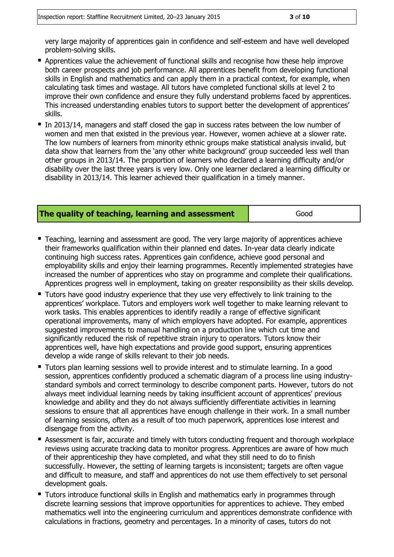very large majority of apprentices gain in confidence and self-esteem and have well developed problem-solving skills.

- **Apprentices value the achievement of functional skills and recognise how these help improve** both career prospects and job performance. All apprentices benefit from developing functional skills in English and mathematics and can apply them in a practical context, for example, when calculating task times and wastage. All tutors have completed functional skills at level 2 to improve their own confidence and ensure they fully understand problems faced by apprentices. This increased understanding enables tutors to support better the development of apprentices' skills.
- In 2013/14, managers and staff closed the gap in success rates between the low number of women and men that existed in the previous year. However, women achieve at a slower rate. The low numbers of learners from minority ethnic groups make statistical analysis invalid, but data show that learners from the 'any other white background' group succeeded less well than other groups in 2013/14. The proportion of learners who declared a learning difficulty and/or disability over the last three years is very low. Only one learner declared a learning difficulty or disability in 2013/14. This learner achieved their qualification in a timely manner.

#### **The quality of teaching, learning and assessment** Figure Good

- Teaching, learning and assessment are good. The very large majority of apprentices achieve their frameworks qualification within their planned end dates. In-year data clearly indicate continuing high success rates. Apprentices gain confidence, achieve good personal and employability skills and enjoy their learning programmes. Recently implemented strategies have increased the number of apprentices who stay on programme and complete their qualifications. Apprentices progress well in employment, taking on greater responsibility as their skills develop.
- **Tutors have good industry experience that they use very effectively to link training to the** apprentices' workplace. Tutors and employers work well together to make learning relevant to work tasks. This enables apprentices to identify readily a range of effective significant operational improvements, many of which employers have adopted. For example, apprentices suggested improvements to manual handling on a production line which cut time and significantly reduced the risk of repetitive strain injury to operators. Tutors know their apprentices well, have high expectations and provide good support, ensuring apprentices develop a wide range of skills relevant to their job needs.
- Tutors plan learning sessions well to provide interest and to stimulate learning. In a good session, apprentices confidently produced a schematic diagram of a process line using industrystandard symbols and correct terminology to describe component parts. However, tutors do not always meet individual learning needs by taking insufficient account of apprentices' previous knowledge and ability and they do not always sufficiently differentiate activities in learning sessions to ensure that all apprentices have enough challenge in their work. In a small number of learning sessions, often as a result of too much paperwork, apprentices lose interest and disengage from the activity.
- Assessment is fair, accurate and timely with tutors conducting frequent and thorough workplace reviews using accurate tracking data to monitor progress. Apprentices are aware of how much of their apprenticeship they have completed, and what they still need to do to finish successfully. However, the setting of learning targets is inconsistent; targets are often vague and difficult to measure, and staff and apprentices do not use them effectively to set personal development goals.
- **Tutors introduce functional skills in English and mathematics early in programmes through** discrete learning sessions that improve opportunities for apprentices to achieve. They embed mathematics well into the engineering curriculum and apprentices demonstrate confidence with calculations in fractions, geometry and percentages. In a minority of cases, tutors do not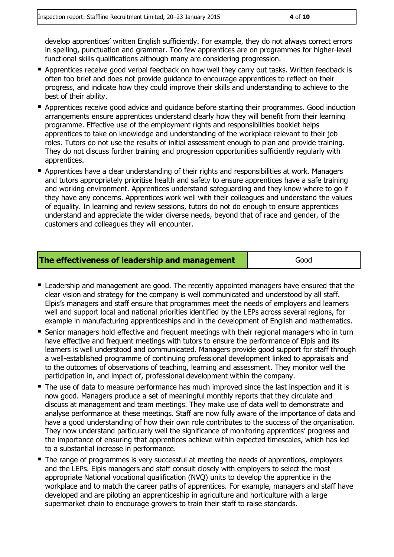develop apprentices' written English sufficiently. For example, they do not always correct errors in spelling, punctuation and grammar. Too few apprentices are on programmes for higher-level functional skills qualifications although many are considering progression.

- Apprentices receive good verbal feedback on how well they carry out tasks. Written feedback is often too brief and does not provide guidance to encourage apprentices to reflect on their progress, and indicate how they could improve their skills and understanding to achieve to the best of their ability.
- **Apprentices receive good advice and guidance before starting their programmes. Good induction** arrangements ensure apprentices understand clearly how they will benefit from their learning programme. Effective use of the employment rights and responsibilities booklet helps apprentices to take on knowledge and understanding of the workplace relevant to their job roles. Tutors do not use the results of initial assessment enough to plan and provide training. They do not discuss further training and progression opportunities sufficiently regularly with apprentices.
- Apprentices have a clear understanding of their rights and responsibilities at work. Managers and tutors appropriately prioritise health and safety to ensure apprentices have a safe training and working environment. Apprentices understand safeguarding and they know where to go if they have any concerns. Apprentices work well with their colleagues and understand the values of equality. In learning and review sessions, tutors do not do enough to ensure apprentices understand and appreciate the wider diverse needs, beyond that of race and gender, of the customers and colleagues they will encounter.

| The effectiveness of leadership and management | Good |  |
|------------------------------------------------|------|--|
|------------------------------------------------|------|--|

- Leadership and management are good. The recently appointed managers have ensured that the clear vision and strategy for the company is well communicated and understood by all staff. Elpis's managers and staff ensure that programmes meet the needs of employers and learners well and support local and national priorities identified by the LEPs across several regions, for example in manufacturing apprenticeships and in the development of English and mathematics.
- Senior managers hold effective and frequent meetings with their regional managers who in turn have effective and frequent meetings with tutors to ensure the performance of Elpis and its learners is well understood and communicated. Managers provide good support for staff through a well-established programme of continuing professional development linked to appraisals and to the outcomes of observations of teaching, learning and assessment. They monitor well the participation in, and impact of, professional development within the company.
- The use of data to measure performance has much improved since the last inspection and it is now good. Managers produce a set of meaningful monthly reports that they circulate and discuss at management and team meetings. They make use of data well to demonstrate and analyse performance at these meetings. Staff are now fully aware of the importance of data and have a good understanding of how their own role contributes to the success of the organisation. They now understand particularly well the significance of monitoring apprentices' progress and the importance of ensuring that apprentices achieve within expected timescales, which has led to a substantial increase in performance.
- The range of programmes is very successful at meeting the needs of apprentices, employers and the LEPs. Elpis managers and staff consult closely with employers to select the most appropriate National vocational qualification (NVQ) units to develop the apprentice in the workplace and to match the career paths of apprentices. For example, managers and staff have developed and are piloting an apprenticeship in agriculture and horticulture with a large supermarket chain to encourage growers to train their staff to raise standards.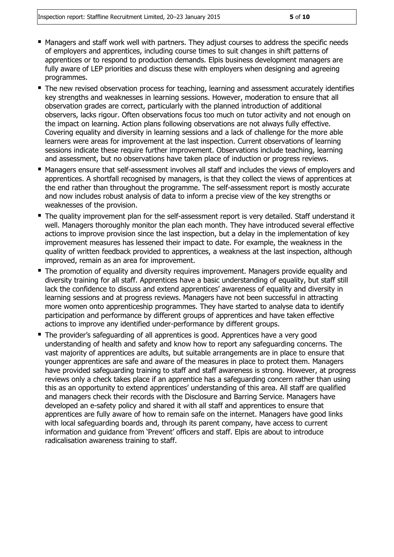- **Managers and staff work well with partners. They adjust courses to address the specific needs** of employers and apprentices, including course times to suit changes in shift patterns of apprentices or to respond to production demands. Elpis business development managers are fully aware of LEP priorities and discuss these with employers when designing and agreeing programmes.
- The new revised observation process for teaching, learning and assessment accurately identifies key strengths and weaknesses in learning sessions. However, moderation to ensure that all observation grades are correct, particularly with the planned introduction of additional observers, lacks rigour. Often observations focus too much on tutor activity and not enough on the impact on learning. Action plans following observations are not always fully effective. Covering equality and diversity in learning sessions and a lack of challenge for the more able learners were areas for improvement at the last inspection. Current observations of learning sessions indicate these require further improvement. Observations include teaching, learning and assessment, but no observations have taken place of induction or progress reviews.
- Managers ensure that self-assessment involves all staff and includes the views of employers and apprentices. A shortfall recognised by managers, is that they collect the views of apprentices at the end rather than throughout the programme. The self-assessment report is mostly accurate and now includes robust analysis of data to inform a precise view of the key strengths or weaknesses of the provision.
- The quality improvement plan for the self-assessment report is very detailed. Staff understand it well. Managers thoroughly monitor the plan each month. They have introduced several effective actions to improve provision since the last inspection, but a delay in the implementation of key improvement measures has lessened their impact to date. For example, the weakness in the quality of written feedback provided to apprentices, a weakness at the last inspection, although improved, remain as an area for improvement.
- The promotion of equality and diversity requires improvement. Managers provide equality and diversity training for all staff. Apprentices have a basic understanding of equality, but staff still lack the confidence to discuss and extend apprentices' awareness of equality and diversity in learning sessions and at progress reviews. Managers have not been successful in attracting more women onto apprenticeship programmes. They have started to analyse data to identify participation and performance by different groups of apprentices and have taken effective actions to improve any identified under-performance by different groups.
- The provider's safeguarding of all apprentices is good. Apprentices have a very good understanding of health and safety and know how to report any safeguarding concerns. The vast majority of apprentices are adults, but suitable arrangements are in place to ensure that younger apprentices are safe and aware of the measures in place to protect them. Managers have provided safeguarding training to staff and staff awareness is strong. However, at progress reviews only a check takes place if an apprentice has a safeguarding concern rather than using this as an opportunity to extend apprentices' understanding of this area. All staff are qualified and managers check their records with the Disclosure and Barring Service. Managers have developed an e-safety policy and shared it with all staff and apprentices to ensure that apprentices are fully aware of how to remain safe on the internet. Managers have good links with local safeguarding boards and, through its parent company, have access to current information and guidance from 'Prevent' officers and staff. Elpis are about to introduce radicalisation awareness training to staff.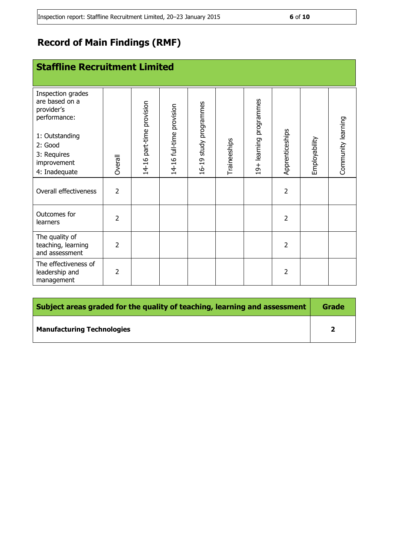# **Record of Main Findings (RMF)**

| <b>Staffline Recruitment Limited</b>                                                                                                          |                |                           |                           |                        |              |                         |                 |               |                    |
|-----------------------------------------------------------------------------------------------------------------------------------------------|----------------|---------------------------|---------------------------|------------------------|--------------|-------------------------|-----------------|---------------|--------------------|
| Inspection grades<br>are based on a<br>provider's<br>performance:<br>1: Outstanding<br>2: Good<br>3: Requires<br>improvement<br>4: Inadequate | Overall        | 14-16 part-time provision | 14-16 full-time provision | 16-19 study programmes | Traineeships | 19+ learning programmes | Apprenticeships | Employability | Community learning |
| Overall effectiveness                                                                                                                         | $\overline{2}$ |                           |                           |                        |              |                         | $\overline{2}$  |               |                    |
| Outcomes for<br>learners                                                                                                                      | $\overline{2}$ |                           |                           |                        |              |                         | $\overline{2}$  |               |                    |
| The quality of<br>teaching, learning<br>and assessment                                                                                        | $\overline{2}$ |                           |                           |                        |              |                         | $\overline{2}$  |               |                    |
| The effectiveness of<br>leadership and<br>management                                                                                          | $\overline{2}$ |                           |                           |                        |              |                         | $\overline{2}$  |               |                    |

| Subject areas graded for the quality of teaching, learning and assessment |   |  |  |
|---------------------------------------------------------------------------|---|--|--|
| <b>Manufacturing Technologies</b>                                         | כ |  |  |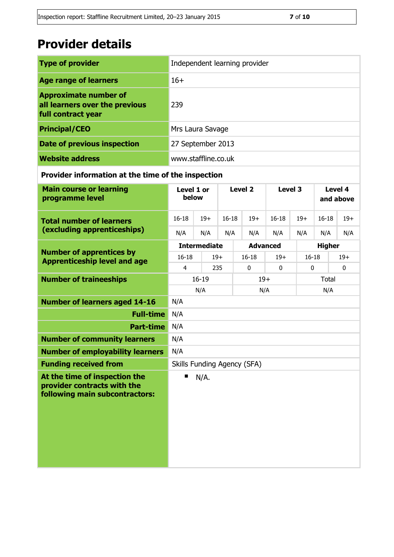# **Provider details**

| <b>Type of provider</b>                                                              | Independent learning provider |
|--------------------------------------------------------------------------------------|-------------------------------|
| <b>Age range of learners</b>                                                         | $16+$                         |
| <b>Approximate number of</b><br>all learners over the previous<br>full contract year | 239                           |
| <b>Principal/CEO</b>                                                                 | Mrs Laura Savage              |
| <b>Date of previous inspection</b>                                                   | 27 September 2013             |
| <b>Website address</b>                                                               | www.staffline.co.uk           |

## **Provider information at the time of the inspection**

| <b>Main course or learning</b><br>programme level                                              | Level 1 or<br>below         |                 | Level <sub>2</sub> |             | Level 3 |             | Level 4<br>and above |              |             |  |
|------------------------------------------------------------------------------------------------|-----------------------------|-----------------|--------------------|-------------|---------|-------------|----------------------|--------------|-------------|--|
| <b>Total number of learners</b>                                                                | $16 - 18$                   | $19+$           | $16 - 18$          |             | $19+$   | $16 - 18$   | $19+$                | $16 - 18$    | $19+$       |  |
| (excluding apprenticeships)                                                                    | N/A                         | N/A             | N/A                |             | N/A     | N/A         | N/A                  | N/A          | N/A         |  |
|                                                                                                | <b>Intermediate</b>         | <b>Advanced</b> |                    |             |         |             | <b>Higher</b>        |              |             |  |
| <b>Number of apprentices by</b><br><b>Apprenticeship level and age</b>                         | $16 - 18$                   | $19+$           |                    | $16 - 18$   |         | $19+$       |                      | $16 - 18$    | $19+$       |  |
|                                                                                                | $\overline{4}$              | 235             |                    | $\mathbf 0$ |         | $\mathbf 0$ | $\mathbf 0$          |              | $\mathbf 0$ |  |
| <b>Number of traineeships</b>                                                                  |                             | $16 - 19$       |                    |             | $19+$   |             |                      | <b>Total</b> |             |  |
|                                                                                                | N/A                         |                 |                    |             | N/A     |             |                      | N/A          |             |  |
| <b>Number of learners aged 14-16</b>                                                           | N/A                         |                 |                    |             |         |             |                      |              |             |  |
| <b>Full-time</b>                                                                               | N/A                         |                 |                    |             |         |             |                      |              |             |  |
| <b>Part-time</b>                                                                               | N/A                         |                 |                    |             |         |             |                      |              |             |  |
| <b>Number of community learners</b>                                                            | N/A                         |                 |                    |             |         |             |                      |              |             |  |
| <b>Number of employability learners</b>                                                        | N/A                         |                 |                    |             |         |             |                      |              |             |  |
| <b>Funding received from</b>                                                                   | Skills Funding Agency (SFA) |                 |                    |             |         |             |                      |              |             |  |
| At the time of inspection the<br>provider contracts with the<br>following main subcontractors: | ■                           | N/A.            |                    |             |         |             |                      |              |             |  |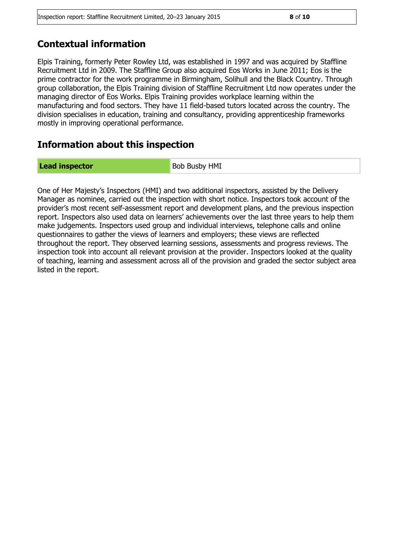# **Contextual information**

Elpis Training, formerly Peter Rowley Ltd, was established in 1997 and was acquired by Staffline Recruitment Ltd in 2009. The Staffline Group also acquired Eos Works in June 2011; Eos is the prime contractor for the work programme in Birmingham, Solihull and the Black Country. Through group collaboration, the Elpis Training division of Staffline Recruitment Ltd now operates under the managing director of Eos Works. Elpis Training provides workplace learning within the manufacturing and food sectors. They have 11 field-based tutors located across the country. The division specialises in education, training and consultancy, providing apprenticeship frameworks mostly in improving operational performance.

# **Information about this inspection**

**Lead inspector** Bob Busby HMI

One of Her Majesty's Inspectors (HMI) and two additional inspectors, assisted by the Delivery Manager as nominee, carried out the inspection with short notice. Inspectors took account of the provider's most recent self-assessment report and development plans, and the previous inspection report. Inspectors also used data on learners' achievements over the last three years to help them make judgements. Inspectors used group and individual interviews, telephone calls and online questionnaires to gather the views of learners and employers; these views are reflected throughout the report. They observed learning sessions, assessments and progress reviews. The inspection took into account all relevant provision at the provider. Inspectors looked at the quality of teaching, learning and assessment across all of the provision and graded the sector subject area listed in the report.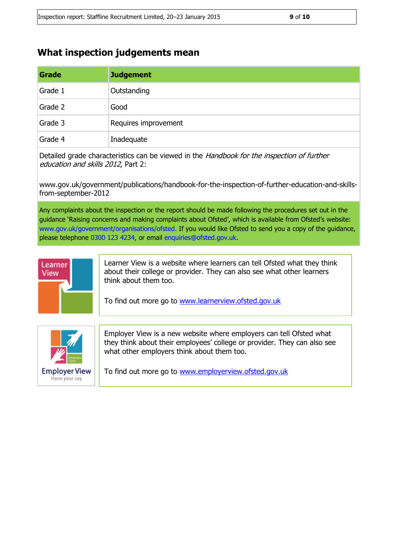## **What inspection judgements mean**

| Grade   | <b>Judgement</b>     |
|---------|----------------------|
| Grade 1 | Outstanding          |
| Grade 2 | Good                 |
| Grade 3 | Requires improvement |
| Grade 4 | Inadequate           |

Detailed grade characteristics can be viewed in the *Handbook for the inspection of further* education and skills 2012, Part 2:

www.gov.uk/government/publications/handbook-for-the-inspection-of-further-education-and-skillsfrom-september-2012

Any complaints about the inspection or the report should be made following the procedures set out in the guidance 'Raising concerns and making complaints about Ofsted', which is available from Ofsted's website: www.gov.uk/government/organisations/ofsted. If you would like Ofsted to send you a copy of the guidance, please telephone 0300 123 4234, or email enquiries@ofsted.gov.uk.



Learner View is a website where learners can tell Ofsted what they think about their college or provider. They can also see what other learners think about them too.

To find out more go to [www.learnerview.ofsted.gov.uk](http://www.learnerview.ofsted.gov.uk/)



Employer View is a new website where employers can tell Ofsted what they think about their employees' college or provider. They can also see what other employers think about them too.

To find out more go to [www.employerview.ofsted.gov.uk](http://www.employerview.ofsted.gov.uk/)